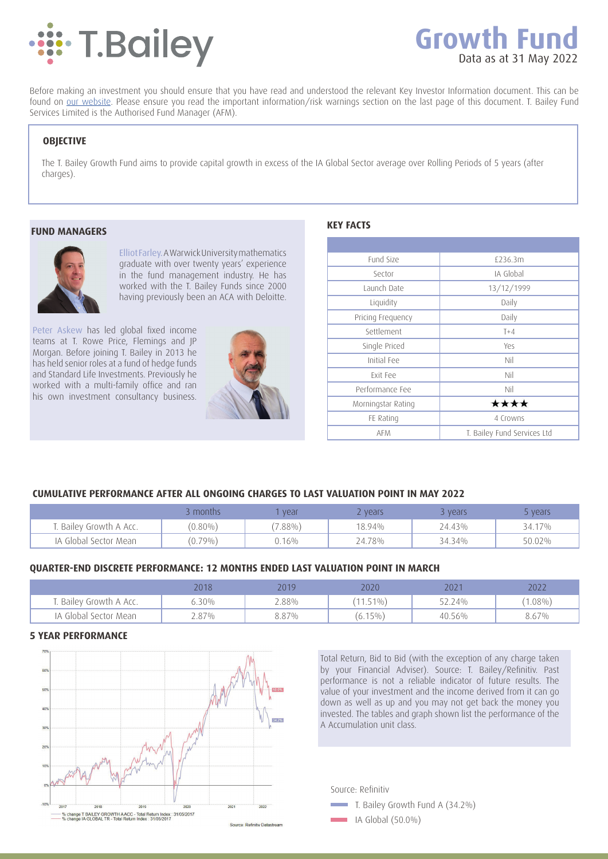

# **Growth Fund** Data as at 31 May 2022

Before making an investment you should ensure that you have read and understood the relevant Key Investor Information document. This can be found on our website. Please ensure you read the important information/risk warnings section on the last page of this document. T. Bailey Fund Services Limited is the Authorised Fund Manager (AFM).

# **OBJECTIVE**

The T. Bailey Growth Fund aims to provide capital growth in excess of the IA Global Sector average over Rolling Periods of 5 years (after charges).

## **FUND MANAGERS**



Elliot Farley. A Warwick University mathematics graduate with over twenty years' experience in the fund management industry. He has worked with the T. Bailey Funds since 2000 having previously been an ACA with Deloitte.

Peter Askew has led global fixed income teams at T. Rowe Price, Flemings and JP Morgan. Before joining T. Bailey in 2013 he has held senior roles at a fund of hedge funds and Standard Life Investments. Previously he worked with a multi-family office and ran his own investment consultancy business.



| Fund Size          | £236.3m                     |  |  |  |
|--------------------|-----------------------------|--|--|--|
| Sector             | IA Global                   |  |  |  |
| Launch Date        | 13/12/1999                  |  |  |  |
| Liquidity          | Daily                       |  |  |  |
| Pricing Frequency  | Daily                       |  |  |  |
| Settlement         | $T+4$                       |  |  |  |
| Single Priced      | Yes                         |  |  |  |
| Initial Fee        | Nil                         |  |  |  |
| <b>Fxit Fee</b>    | Nil                         |  |  |  |
| Performance Fee    | Nil                         |  |  |  |
| Morningstar Rating | ****                        |  |  |  |
| FE Rating          | 4 Crowns                    |  |  |  |
| <b>AFM</b>         | T. Bailey Fund Services Ltd |  |  |  |

# **CUMULATIVE PERFORMANCE AFTER ALL ONGOING CHARGES TO LAST VALUATION POINT IN MAY 2022**

|                        | months     | vear     | z vears | vears  | vears  |
|------------------------|------------|----------|---------|--------|--------|
| . Bailey Growth A Acc. | $(0.80\%)$ | $7.88\%$ | 18.94%  | 24.43% | 34.17% |
| IA Global Sector Mean  | $(0.79\%)$ | 0.16%    | 24.78%  | 34.34% | 50.02% |

# **QUARTER-END DISCRETE PERFORMANCE: 12 MONTHS ENDED LAST VALUATION POINT IN MARCH**

|                        | 2018  | 2019  | 2020        | 2021   | 2022       |
|------------------------|-------|-------|-------------|--------|------------|
| . Bailey Growth A Acc. | ა.30% | 2.88% | $(11.51\%)$ | 52.24% | $(1.08\%)$ |
| IA Global Sector Mean  | 4.87% | 8.87% | $(6.15\%)$  | 40.56% | 8.67%      |

# **5 YEAR PERFORMANCE**



Total Return, Bid to Bid (with the exception of any charge taken by your Financial Adviser). Source: T. Bailey/Refinitiv. Past performance is not a reliable indicator of future results. The value of your investment and the income derived from it can go down as well as up and you may not get back the money you invested. The tables and graph shown list the performance of the A Accumulation unit class.

Source: Refinitiv



 $\Box$  IA Global (50.0%)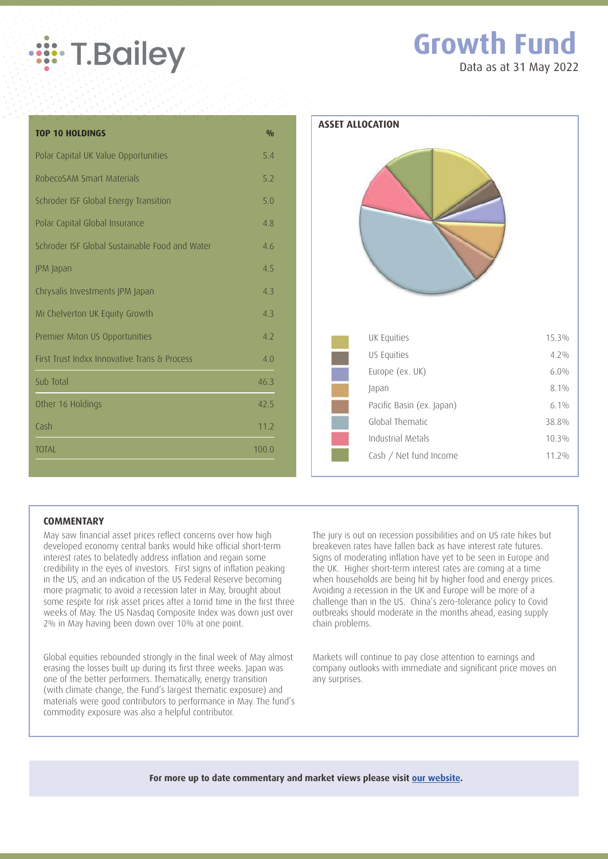

# **Growth Fund**

Data as at 31 May 2022

| <b>TOP 10 HOLDINGS</b>                         | 0/0   |
|------------------------------------------------|-------|
| Polar Capital UK Value Opportunities           | 5.4   |
| RobecoSAM Smart Materials                      | 5.2   |
| Schroder ISF Global Energy Transition          | 5.0   |
| Polar Capital Global Insurance                 | 4.8   |
| Schroder ISF Global Sustainable Food and Water | 4.6   |
| JPM Japan                                      | 4.5   |
| Chrysalis Investments JPM Japan                | 4.3   |
| Mi Chelverton UK Equity Growth                 | 4.3   |
| Premier Miton US Opportunities                 | 4.2   |
| First Trust Indxx Innovative Trans & Process   | 4.0   |
| Sub Total                                      | 46.3  |
| Other 16 Holdings                              | 42.5  |
| Cash                                           | 11.2  |
| <b>TOTAL</b>                                   | 100.0 |



# **COMMENTARY**

May saw financial asset prices reflect concerns over how high developed economy central banks would hike official short-term interest rates to belatedly address inflation and regain some credibility in the eyes of investors. First signs of inflation peaking in the US, and an indication of the US Federal Reserve becoming more pragmatic to avoid a recession later in May, brought about some respite for risk asset prices after a torrid time in the first three weeks of May. The US Nasdaq Composite Index was down just over 2% in May having been down over 10% at one point.

Global equities rebounded strongly in the final week of May almost erasing the losses built up during its first three weeks. Japan was one of the better performers. Thematically, energy transition (with climate change, the Fund's largest thematic exposure) and materials were good contributors to performance in May. The fund's commodity exposure was also a helpful contributor.

The jury is out on recession possibilities and on US rate hikes but breakeven rates have fallen back as have interest rate futures. Signs of moderating inflation have yet to be seen in Europe and the UK. Higher short-term interest rates are coming at a time when households are being hit by higher food and energy prices. Avoiding a recession in the UK and Europe will be more of a challenge than in the US. China's zero-tolerance policy to Covid outbreaks should moderate in the months ahead, easing supply chain problems.

Markets will continue to pay close attention to earnings and company outlooks with immediate and significant price moves on any surprises.

**For more up to date commentary and market views please visit our website.**